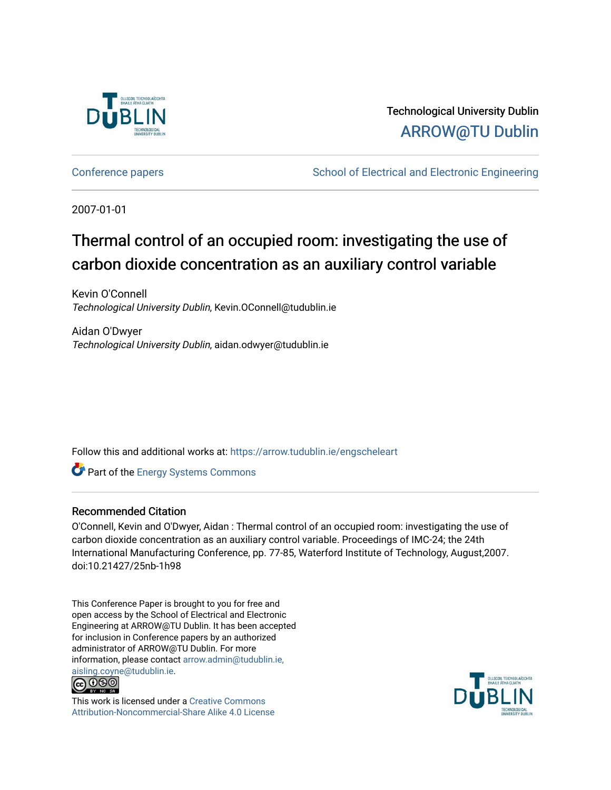

Technological University Dublin [ARROW@TU Dublin](https://arrow.tudublin.ie/) 

[Conference papers](https://arrow.tudublin.ie/engscheleart) **School of Electrical and Electronic Engineering** 

2007-01-01

# Thermal control of an occupied room: investigating the use of carbon dioxide concentration as an auxiliary control variable

Kevin O'Connell Technological University Dublin, Kevin.OConnell@tudublin.ie

Aidan O'Dwyer Technological University Dublin, aidan.odwyer@tudublin.ie

Follow this and additional works at: [https://arrow.tudublin.ie/engscheleart](https://arrow.tudublin.ie/engscheleart?utm_source=arrow.tudublin.ie%2Fengscheleart%2F9&utm_medium=PDF&utm_campaign=PDFCoverPages) 

Part of the [Energy Systems Commons](http://network.bepress.com/hgg/discipline/299?utm_source=arrow.tudublin.ie%2Fengscheleart%2F9&utm_medium=PDF&utm_campaign=PDFCoverPages) 

#### Recommended Citation

O'Connell, Kevin and O'Dwyer, Aidan : Thermal control of an occupied room: investigating the use of carbon dioxide concentration as an auxiliary control variable. Proceedings of IMC-24; the 24th International Manufacturing Conference, pp. 77-85, Waterford Institute of Technology, August,2007. doi:10.21427/25nb-1h98

This Conference Paper is brought to you for free and open access by the School of Electrical and Electronic Engineering at ARROW@TU Dublin. It has been accepted for inclusion in Conference papers by an authorized administrator of ARROW@TU Dublin. For more information, please contact [arrow.admin@tudublin.ie,](mailto:arrow.admin@tudublin.ie,%20aisling.coyne@tudublin.ie)  [aisling.coyne@tudublin.ie.](mailto:arrow.admin@tudublin.ie,%20aisling.coyne@tudublin.ie)<br>@009



This work is licensed under a [Creative Commons](http://creativecommons.org/licenses/by-nc-sa/4.0/) [Attribution-Noncommercial-Share Alike 4.0 License](http://creativecommons.org/licenses/by-nc-sa/4.0/)

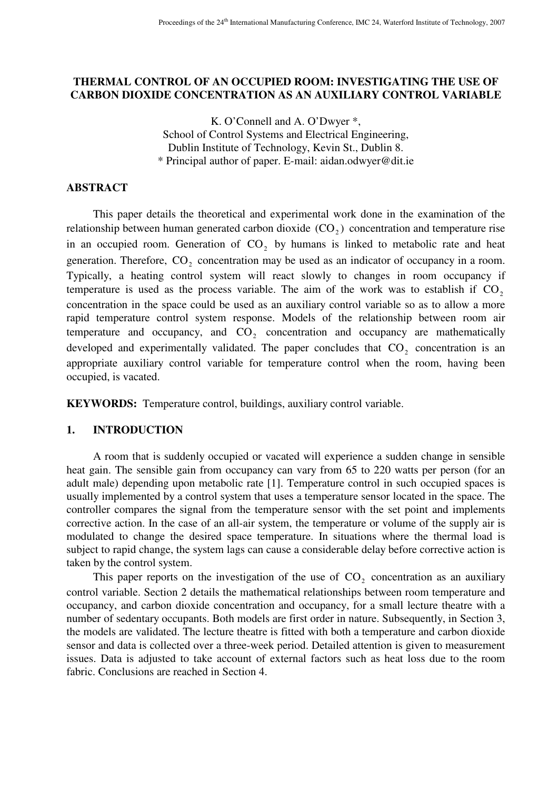# **THERMAL CONTROL OF AN OCCUPIED ROOM: INVESTIGATING THE USE OF CARBON DIOXIDE CONCENTRATION AS AN AUXILIARY CONTROL VARIABLE**

K. O'Connell and A. O'Dwyer \*, School of Control Systems and Electrical Engineering, Dublin Institute of Technology, Kevin St., Dublin 8. \* Principal author of paper. E-mail: aidan.odwyer@dit.ie

# **ABSTRACT**

This paper details the theoretical and experimental work done in the examination of the relationship between human generated carbon dioxide  $(CO_2)$  concentration and temperature rise in an occupied room. Generation of  $CO<sub>2</sub>$  by humans is linked to metabolic rate and heat generation. Therefore,  $CO<sub>2</sub>$  concentration may be used as an indicator of occupancy in a room. Typically, a heating control system will react slowly to changes in room occupancy if temperature is used as the process variable. The aim of the work was to establish if  $CO<sub>2</sub>$ concentration in the space could be used as an auxiliary control variable so as to allow a more rapid temperature control system response. Models of the relationship between room air temperature and occupancy, and  $CO<sub>2</sub>$  concentration and occupancy are mathematically developed and experimentally validated. The paper concludes that  $CO<sub>2</sub>$  concentration is an appropriate auxiliary control variable for temperature control when the room, having been occupied, is vacated.

**KEYWORDS:** Temperature control, buildings, auxiliary control variable.

# **1. INTRODUCTION**

A room that is suddenly occupied or vacated will experience a sudden change in sensible heat gain. The sensible gain from occupancy can vary from 65 to 220 watts per person (for an adult male) depending upon metabolic rate [1]. Temperature control in such occupied spaces is usually implemented by a control system that uses a temperature sensor located in the space. The controller compares the signal from the temperature sensor with the set point and implements corrective action. In the case of an all-air system, the temperature or volume of the supply air is modulated to change the desired space temperature. In situations where the thermal load is subject to rapid change, the system lags can cause a considerable delay before corrective action is taken by the control system.

This paper reports on the investigation of the use of  $CO<sub>2</sub>$  concentration as an auxiliary control variable. Section 2 details the mathematical relationships between room temperature and occupancy, and carbon dioxide concentration and occupancy, for a small lecture theatre with a number of sedentary occupants. Both models are first order in nature. Subsequently, in Section 3, the models are validated. The lecture theatre is fitted with both a temperature and carbon dioxide sensor and data is collected over a three-week period. Detailed attention is given to measurement issues. Data is adjusted to take account of external factors such as heat loss due to the room fabric. Conclusions are reached in Section 4.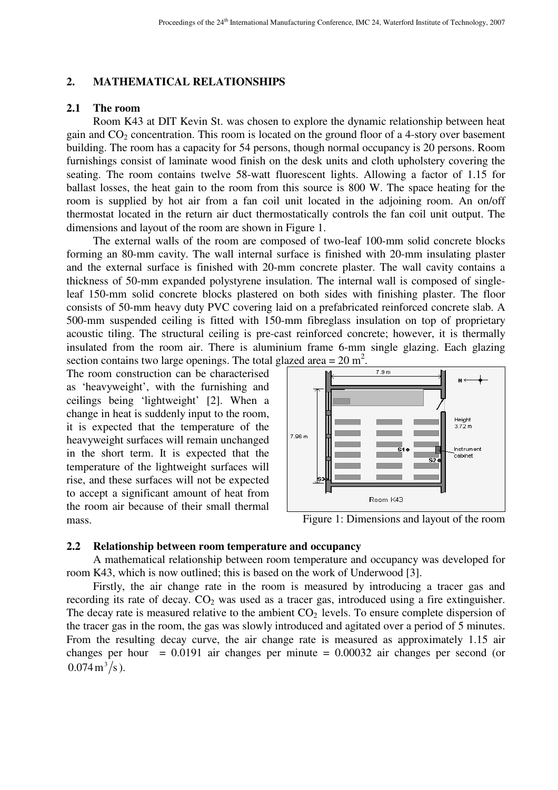### **2. MATHEMATICAL RELATIONSHIPS**

#### **2.1 The room**

Room K43 at DIT Kevin St. was chosen to explore the dynamic relationship between heat gain and  $CO<sub>2</sub>$  concentration. This room is located on the ground floor of a 4-story over basement building. The room has a capacity for 54 persons, though normal occupancy is 20 persons. Room furnishings consist of laminate wood finish on the desk units and cloth upholstery covering the seating. The room contains twelve 58-watt fluorescent lights. Allowing a factor of 1.15 for ballast losses, the heat gain to the room from this source is 800 W. The space heating for the room is supplied by hot air from a fan coil unit located in the adjoining room. An on/off thermostat located in the return air duct thermostatically controls the fan coil unit output. The dimensions and layout of the room are shown in Figure 1.

The external walls of the room are composed of two-leaf 100-mm solid concrete blocks forming an 80-mm cavity. The wall internal surface is finished with 20-mm insulating plaster and the external surface is finished with 20-mm concrete plaster. The wall cavity contains a thickness of 50-mm expanded polystyrene insulation. The internal wall is composed of singleleaf 150-mm solid concrete blocks plastered on both sides with finishing plaster. The floor consists of 50-mm heavy duty PVC covering laid on a prefabricated reinforced concrete slab. A 500-mm suspended ceiling is fitted with 150-mm fibreglass insulation on top of proprietary acoustic tiling. The structural ceiling is pre-cast reinforced concrete; however, it is thermally insulated from the room air. There is aluminium frame 6-mm single glazing. Each glazing section contains two large openings. The total glazed area =  $20 \text{ m}^2$ .

The room construction can be characterised as 'heavyweight', with the furnishing and ceilings being 'lightweight' [2]. When a change in heat is suddenly input to the room, it is expected that the temperature of the heavyweight surfaces will remain unchanged in the short term. It is expected that the temperature of the lightweight surfaces will rise, and these surfaces will not be expected to accept a significant amount of heat from the room air because of their small thermal mass. Figure 1: Dimensions and layout of the room



#### **2.2 Relationship between room temperature and occupancy**

A mathematical relationship between room temperature and occupancy was developed for room K43, which is now outlined; this is based on the work of Underwood [3].

Firstly, the air change rate in the room is measured by introducing a tracer gas and recording its rate of decay.  $CO<sub>2</sub>$  was used as a tracer gas, introduced using a fire extinguisher. The decay rate is measured relative to the ambient  $CO<sub>2</sub>$  levels. To ensure complete dispersion of the tracer gas in the room, the gas was slowly introduced and agitated over a period of 5 minutes. From the resulting decay curve, the air change rate is measured as approximately 1.15 air changes per hour =  $0.0191$  air changes per minute =  $0.00032$  air changes per second (or  $0.074 \,\mathrm{m}^3/\mathrm{s}$ ).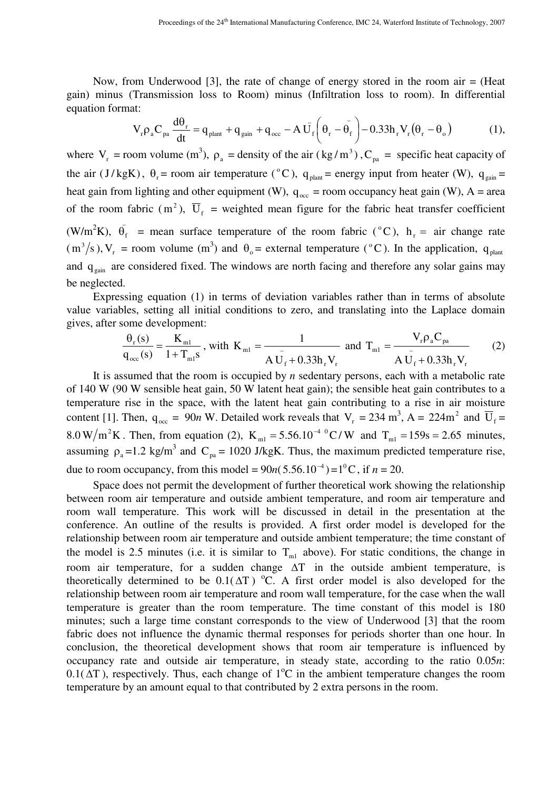Now, from Underwood [3], the rate of change of energy stored in the room air = (Heat gain) minus (Transmission loss to Room) minus (Infiltration loss to room). In differential equation format:

$$
V_r \rho_a C_{pa} \frac{d\theta_r}{dt} = q_{plan} + q_{gain} + q_{occ} - A \bar{U}_f \left( \theta_r - \bar{\theta}_f \right) - 0.33 h_r V_r (\theta_r - \theta_o) \tag{1}
$$

where  $V_r$  = room volume (m<sup>3</sup>),  $\rho_a$  = density of the air (kg/m<sup>3</sup>), C<sub>pa</sub> = specific heat capacity of the air (J/kgK),  $\theta_r$  = room air temperature (°C),  $q_{\text{plant}}$  = energy input from heater (W),  $q_{\text{gain}}$  = heat gain from lighting and other equipment (W),  $q_{occ}$  = room occupancy heat gain (W), A = area of the room fabric (m<sup>2</sup>),  $\overline{U}_f$  = weighted mean figure for the fabric heat transfer coefficient (W/m<sup>2</sup>K),  $\bar{\theta_f}$  = mean surface temperature of the room fabric (°C), h<sub>r</sub> = air change rate  $(m^3/s)$ ,  $V_r$  = room volume  $(m^3)$  and  $\theta_o$  = external temperature (°C). In the application,  $q_{plant}$ and  $q_{\text{gain}}$  are considered fixed. The windows are north facing and therefore any solar gains may be neglected.

Expressing equation (1) in terms of deviation variables rather than in terms of absolute value variables, setting all initial conditions to zero, and translating into the Laplace domain gives, after some development:

$$
\frac{\theta_{r}(s)}{q_{occ}(s)} = \frac{K_{ml}}{1 + T_{ml}s}, \text{ with } K_{ml} = \frac{1}{A U_{f} + 0.33 h_{r} V_{r}} \text{ and } T_{ml} = \frac{V_{r} \rho_{a} C_{pa}}{A U_{f} + 0.33 h_{r} V_{r}}
$$
(2)

It is assumed that the room is occupied by *n* sedentary persons, each with a metabolic rate of 140 W (90 W sensible heat gain, 50 W latent heat gain); the sensible heat gain contributes to a temperature rise in the space, with the latent heat gain contributing to a rise in air moisture content [1]. Then,  $q_{\text{occ}} = 90n$  W. Detailed work reveals that  $V_r = 234 \text{ m}^3$ , A =  $224 \text{ m}^2$  and  $\overline{U}_f$  = 8.0 W/m<sup>2</sup>K. Then, from equation (2),  $K_{m1} = 5.56.10^{-4} {}^{0}C/W$  and  $T_{m1} = 159s = 2.65$  minutes, assuming  $\rho_a = 1.2 \text{ kg/m}^3$  and  $C_{pa} = 1020 \text{ J/kgK}$ . Thus, the maximum predicted temperature rise, due to room occupancy, from this model =  $90n(5.56.10^{-4}) = 1^{0}C$ , if  $n = 20$ .

Space does not permit the development of further theoretical work showing the relationship between room air temperature and outside ambient temperature, and room air temperature and room wall temperature. This work will be discussed in detail in the presentation at the conference. An outline of the results is provided. A first order model is developed for the relationship between room air temperature and outside ambient temperature; the time constant of the model is 2.5 minutes (i.e. it is similar to  $T_{m1}$  above). For static conditions, the change in room air temperature, for a sudden change ∆T in the outside ambient temperature, is theoretically determined to be  $0.1(\Delta T)$  °C. A first order model is also developed for the relationship between room air temperature and room wall temperature, for the case when the wall temperature is greater than the room temperature. The time constant of this model is 180 minutes; such a large time constant corresponds to the view of Underwood [3] that the room fabric does not influence the dynamic thermal responses for periods shorter than one hour. In conclusion, the theoretical development shows that room air temperature is influenced by occupancy rate and outside air temperature, in steady state, according to the ratio 0.05*n*:  $0.1(\Delta T)$ , respectively. Thus, each change of 1<sup>o</sup>C in the ambient temperature changes the room temperature by an amount equal to that contributed by 2 extra persons in the room.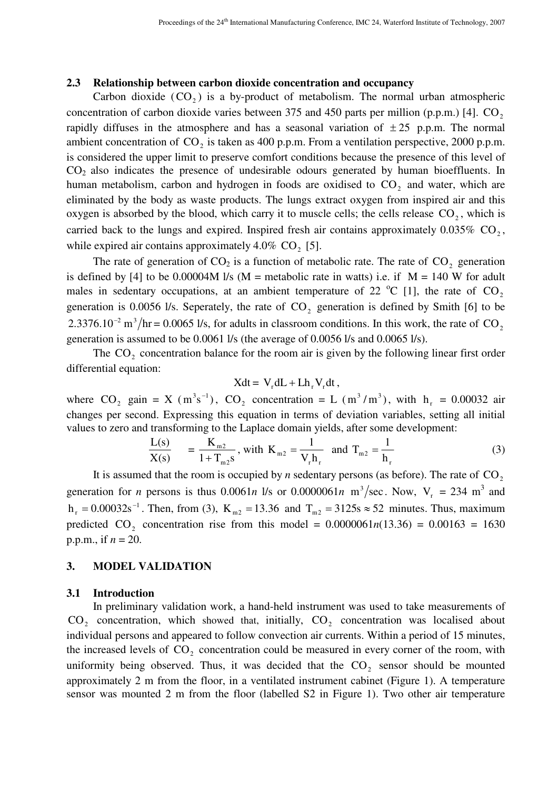#### **2.3 Relationship between carbon dioxide concentration and occupancy**

Carbon dioxide  $(CO_2)$  is a by-product of metabolism. The normal urban atmospheric concentration of carbon dioxide varies between  $375$  and  $450$  parts per million (p.p.m.) [4].  $CO<sub>2</sub>$ rapidly diffuses in the atmosphere and has a seasonal variation of  $\pm 25$  p.p.m. The normal ambient concentration of  $CO_2$  is taken as 400 p.p.m. From a ventilation perspective, 2000 p.p.m. is considered the upper limit to preserve comfort conditions because the presence of this level of CO2 also indicates the presence of undesirable odours generated by human bioeffluents. In human metabolism, carbon and hydrogen in foods are oxidised to CO<sub>2</sub> and water, which are eliminated by the body as waste products. The lungs extract oxygen from inspired air and this oxygen is absorbed by the blood, which carry it to muscle cells; the cells release  $CO<sub>2</sub>$ , which is carried back to the lungs and expired. Inspired fresh air contains approximately  $0.035\%$  CO<sub>2</sub>, while expired air contains approximately 4.0%  $CO<sub>2</sub>$  [5].

The rate of generation of  $CO<sub>2</sub>$  is a function of metabolic rate. The rate of  $CO<sub>2</sub>$  generation is defined by [4] to be 0.00004M l/s (M = metabolic rate in watts) i.e. if  $M = 140$  W for adult males in sedentary occupations, at an ambient temperature of 22  $^{\circ}$ C [1], the rate of CO<sub>2</sub> generation is 0.0056 l/s. Seperately, the rate of  $CO<sub>2</sub>$  generation is defined by Smith [6] to be 2.3376.10<sup>-2</sup> m<sup>3</sup>/hr = 0.0065 l/s, for adults in classroom conditions. In this work, the rate of CO<sub>2</sub> generation is assumed to be 0.0061 l/s (the average of 0.0056 l/s and 0.0065 l/s).

The  $CO<sub>2</sub>$  concentration balance for the room air is given by the following linear first order differential equation:

$$
Xdt = V_r dL + Lh_r V_r dt,
$$

where  $CO_2$  gain = X (m<sup>3</sup>s<sup>-1</sup>),  $CO_2$  concentration = L (m<sup>3</sup>/m<sup>3</sup>), with h<sub>r</sub> = 0.00032 air changes per second. Expressing this equation in terms of deviation variables, setting all initial values to zero and transforming to the Laplace domain yields, after some development:

$$
\frac{L(s)}{X(s)} = \frac{K_{m2}}{1 + T_{m2}s}
$$
, with  $K_{m2} = \frac{1}{V_r h_r}$  and  $T_{m2} = \frac{1}{h_r}$  (3)

It is assumed that the room is occupied by  $n$  sedentary persons (as before). The rate of  $CO<sub>2</sub>$ generation for *n* persons is thus 0.0061*n* l/s or 0.0000061*n* m<sup>3</sup>/sec. Now,  $V_r = 234$  m<sup>3</sup> and  $h_r = 0.00032s^{-1}$ . Then, from (3), K<sub>m2</sub> = 13.36 and T<sub>m2</sub> = 3125s ≈ 52 minutes. Thus, maximum predicted CO<sub>2</sub> concentration rise from this model =  $0.0000061n(13.36) = 0.00163 = 1630$ p.p.m., if *n* = 20.

#### **3. MODEL VALIDATION**

#### **3.1 Introduction**

In preliminary validation work, a hand-held instrument was used to take measurements of  $CO<sub>2</sub>$  concentration, which showed that, initially,  $CO<sub>2</sub>$  concentration was localised about individual persons and appeared to follow convection air currents. Within a period of 15 minutes, the increased levels of  $CO<sub>2</sub>$  concentration could be measured in every corner of the room, with uniformity being observed. Thus, it was decided that the  $CO<sub>2</sub>$  sensor should be mounted approximately 2 m from the floor, in a ventilated instrument cabinet (Figure 1). A temperature sensor was mounted 2 m from the floor (labelled S2 in Figure 1). Two other air temperature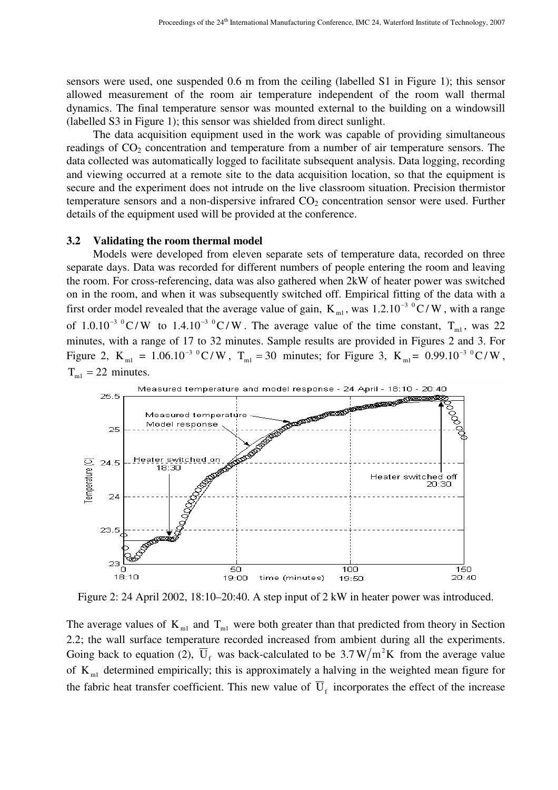sensors were used, one suspended 0.6 m from the ceiling (labelled S1 in Figure 1); this sensor allowed measurement of the room air temperature independent of the room wall thermal dynamics. The final temperature sensor was mounted external to the building on a windowsill (labelled S3 in Figure 1); this sensor was shielded from direct sunlight.

The data acquisition equipment used in the work was capable of providing simultaneous readings of  $CO<sub>2</sub>$  concentration and temperature from a number of air temperature sensors. The data collected was automatically logged to facilitate subsequent analysis. Data logging, recording and viewing occurred at a remote site to the data acquisition location, so that the equipment is secure and the experiment does not intrude on the live classroom situation. Precision thermistor temperature sensors and a non-dispersive infrared  $CO<sub>2</sub>$  concentration sensor were used. Further details of the equipment used will be provided at the conference.

#### **3.2 Validating the room thermal model**

Models were developed from eleven separate sets of temperature data, recorded on three separate days. Data was recorded for different numbers of people entering the room and leaving the room. For cross-referencing, data was also gathered when 2kW of heater power was switched on in the room, and when it was subsequently switched off. Empirical fitting of the data with a first order model revealed that the average value of gain,  $K_{m1}$ , was 1.2.10<sup>-3</sup> <sup>0</sup>C/W, with a range of 1.0.10<sup>-3 o</sup>C/W to 1.4.10<sup>-3 o</sup>C/W. The average value of the time constant, T<sub>m1</sub>, was 22 minutes, with a range of 17 to 32 minutes. Sample results are provided in Figures 2 and 3. For Figure 2,  $K_{m1} = 1.06.10^{-3} {}^{0}C/W$ ,  $T_{m1} = 30$  minutes; for Figure 3,  $K_{m1} = 0.99.10^{-3} {}^{0}C/W$ ,  $T<sub>ml</sub> = 22$  minutes.



Figure 2: 24 April 2002, 18:10–20:40. A step input of 2 kW in heater power was introduced.

The average values of  $K_{ml}$  and  $T_{ml}$  were both greater than that predicted from theory in Section 2.2; the wall surface temperature recorded increased from ambient during all the experiments. Going back to equation (2),  $\overline{U}_f$  was back-calculated to be 3.7 W/m<sup>2</sup>K from the average value of  $K_{ml}$  determined empirically; this is approximately a halving in the weighted mean figure for the fabric heat transfer coefficient. This new value of  $\overline{U}_f$  incorporates the effect of the increase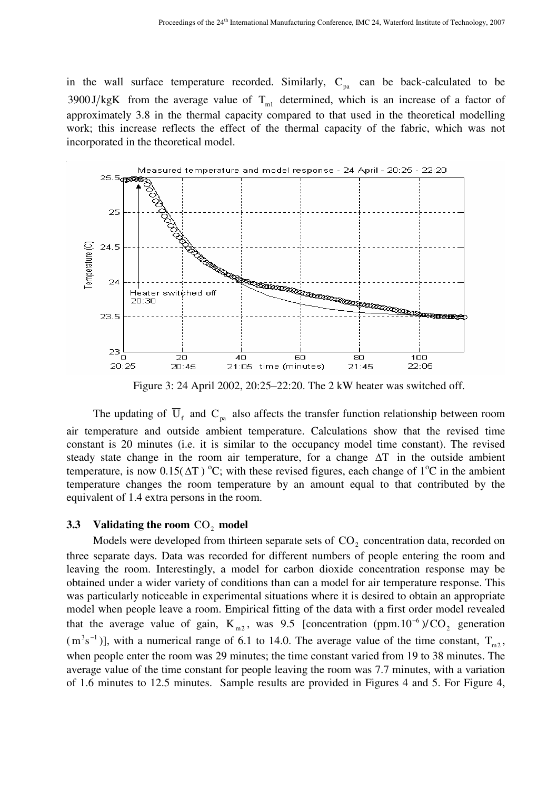in the wall surface temperature recorded. Similarly,  $C_{pa}$  can be back-calculated to be 3900 J/kgK from the average value of  $T_{ml}$  determined, which is an increase of a factor of approximately 3.8 in the thermal capacity compared to that used in the theoretical modelling work; this increase reflects the effect of the thermal capacity of the fabric, which was not incorporated in the theoretical model.



Figure 3: 24 April 2002, 20:25–22:20. The 2 kW heater was switched off.

The updating of  $\overline{U}_f$  and  $C_{pa}$  also affects the transfer function relationship between room air temperature and outside ambient temperature. Calculations show that the revised time constant is 20 minutes (i.e. it is similar to the occupancy model time constant). The revised steady state change in the room air temperature, for a change ∆T in the outside ambient temperature, is now 0.15( $\Delta T$ ) °C; with these revised figures, each change of 1°C in the ambient temperature changes the room temperature by an amount equal to that contributed by the equivalent of 1.4 extra persons in the room.

# **3.3** Validating the room  $CO_2$  model

Models were developed from thirteen separate sets of  $CO<sub>2</sub>$  concentration data, recorded on three separate days. Data was recorded for different numbers of people entering the room and leaving the room. Interestingly, a model for carbon dioxide concentration response may be obtained under a wider variety of conditions than can a model for air temperature response. This was particularly noticeable in experimental situations where it is desired to obtain an appropriate model when people leave a room. Empirical fitting of the data with a first order model revealed that the average value of gain,  $K_{m2}$ , was 9.5 [concentration (ppm. 10<sup>-6</sup>)/CO<sub>2</sub> generation  $(m^3s^{-1})$ ], with a numerical range of 6.1 to 14.0. The average value of the time constant,  $T_{m2}$ , when people enter the room was 29 minutes; the time constant varied from 19 to 38 minutes. The average value of the time constant for people leaving the room was 7.7 minutes, with a variation of 1.6 minutes to 12.5 minutes. Sample results are provided in Figures 4 and 5. For Figure 4,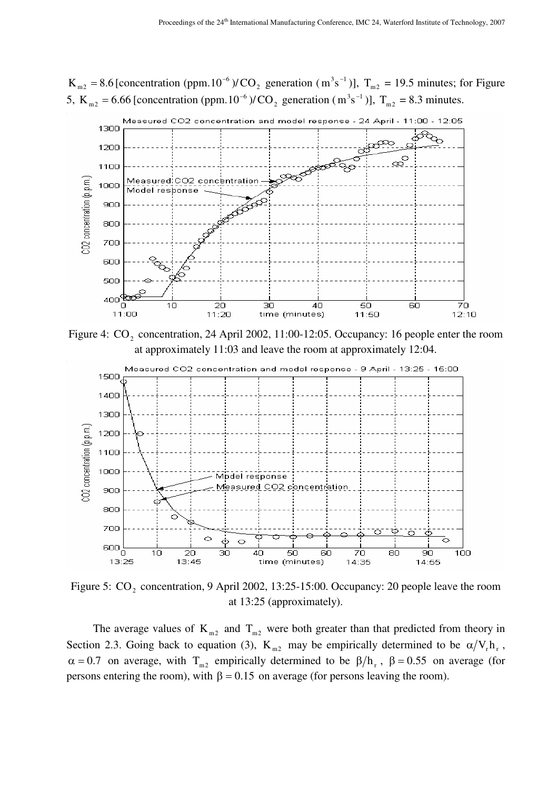$K_{m2} = 8.6$  [concentration (ppm. 10<sup>-6</sup>)/CO<sub>2</sub> generation ( $m^3s^{-1}$ )],  $T_{m2} = 19.5$  minutes; for Figure 5, K<sub>m2</sub> = 6.66 [concentration (ppm. 10<sup>-6</sup>)/CO<sub>2</sub> generation ( $m^3s^{-1}$ )], T<sub>m2</sub> = 8.3 minutes.



Figure 4:  $CO_2$  concentration, 24 April 2002, 11:00-12:05. Occupancy: 16 people enter the room at approximately 11:03 and leave the room at approximately 12:04.



Figure 5:  $CO_2$  concentration, 9 April 2002, 13:25-15:00. Occupancy: 20 people leave the room at 13:25 (approximately).

The average values of  $K_{m2}$  and  $T_{m2}$  were both greater than that predicted from theory in Section 2.3. Going back to equation (3),  $K_{m2}$  may be empirically determined to be  $\alpha/V_r h_r$ ,  $\alpha = 0.7$  on average, with T<sub>m2</sub> empirically determined to be  $\beta/h_r$ ,  $\beta = 0.55$  on average (for persons entering the room), with  $\beta = 0.15$  on average (for persons leaving the room).